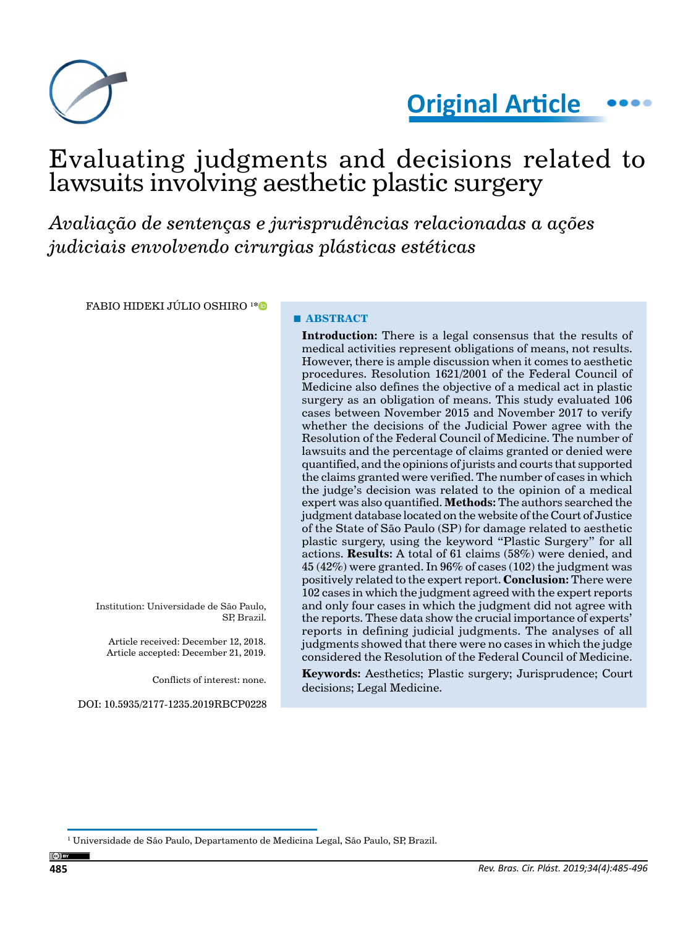



# Evaluating judgments and decisions related to lawsuits involving aesthetic plastic surgery

*Avaliação de sentenças e jurisprudências relacionadas a ações judiciais envolvendo cirurgias plásticas estéticas*

FABIO HIDEKI JÚLIO OSHIRO 1 [\\*](https://orcid.org/0000-0002-0043-9238)

Institution: Universidade de São Paulo, SP, Brazil.

Article received: December 12, 2018. Article accepted: December 21, 2019.

Conflicts of interest: none.

DOI: 10.5935/2177-1235.2019RBCP0228

#### **■ ABSTRACT**

**Introduction:** There is a legal consensus that the results of medical activities represent obligations of means, not results. However, there is ample discussion when it comes to aesthetic procedures. Resolution 1621/2001 of the Federal Council of Medicine also defines the objective of a medical act in plastic surgery as an obligation of means. This study evaluated 106 cases between November 2015 and November 2017 to verify whether the decisions of the Judicial Power agree with the Resolution of the Federal Council of Medicine. The number of lawsuits and the percentage of claims granted or denied were quantified, and the opinions of jurists and courts that supported the claims granted were verified. The number of cases in which the judge's decision was related to the opinion of a medical expert was also quantified. **Methods:** The authors searched the judgment database located on the website of the Court of Justice of the State of São Paulo (SP) for damage related to aesthetic plastic surgery, using the keyword "Plastic Surgery" for all actions. **Results:** A total of 61 claims (58%) were denied, and  $45 (42%)$  were granted. In 96% of cases (102) the judgment was positively related to the expert report. **Conclusion:** There were 102 cases in which the judgment agreed with the expert reports and only four cases in which the judgment did not agree with the reports. These data show the crucial importance of experts' reports in defining judicial judgments. The analyses of all judgments showed that there were no cases in which the judge considered the Resolution of the Federal Council of Medicine.

**Keywords:** Aesthetics; Plastic surgery; Jurisprudence; Court decisions; Legal Medicine.

 $^{\rm I}$  Universidade de São Paulo, Departamento de Medicina Legal, São Paulo, SP, Brazil.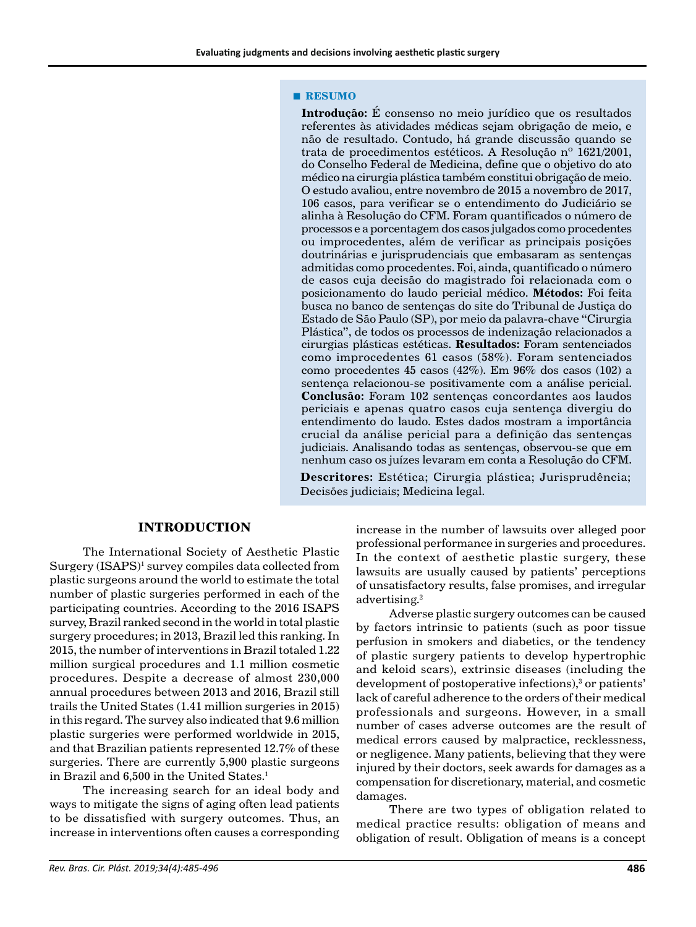#### **■ RESUMO**

**Introdução:** É consenso no meio jurídico que os resultados referentes às atividades médicas sejam obrigação de meio, e não de resultado. Contudo, há grande discussão quando se trata de procedimentos estéticos. A Resolução nº 1621/2001, do Conselho Federal de Medicina, define que o objetivo do ato médico na cirurgia plástica também constitui obrigação de meio. O estudo avaliou, entre novembro de 2015 a novembro de 2017, 106 casos, para verificar se o entendimento do Judiciário se alinha à Resolução do CFM. Foram quantificados o número de processos e a porcentagem dos casos julgados como procedentes ou improcedentes, além de verificar as principais posições doutrinárias e jurisprudenciais que embasaram as sentenças admitidas como procedentes. Foi, ainda, quantificado o número de casos cuja decisão do magistrado foi relacionada com o posicionamento do laudo pericial médico. **Métodos:** Foi feita busca no banco de sentenças do site do Tribunal de Justiça do Estado de São Paulo (SP), por meio da palavra-chave "Cirurgia Plástica", de todos os processos de indenização relacionados a cirurgias plásticas estéticas. **Resultados:** Foram sentenciados como improcedentes 61 casos (58%). Foram sentenciados como procedentes 45 casos (42%). Em 96% dos casos (102) a sentença relacionou-se positivamente com a análise pericial. **Conclusão:** Foram 102 sentenças concordantes aos laudos periciais e apenas quatro casos cuja sentença divergiu do entendimento do laudo. Estes dados mostram a importância crucial da análise pericial para a definição das sentenças judiciais. Analisando todas as sentenças, observou-se que em nenhum caso os juízes levaram em conta a Resolução do CFM.

**Descritores:** Estética; Cirurgia plástica; Jurisprudência; Decisões judiciais; Medicina legal.

#### **INTRODUCTION**

The International Society of Aesthetic Plastic Surgery  $(ISAPS)^1$  survey compiles data collected from plastic surgeons around the world to estimate the total number of plastic surgeries performed in each of the participating countries. According to the 2016 ISAPS survey, Brazil ranked second in the world in total plastic surgery procedures; in 2013, Brazil led this ranking. In 2015, the number of interventions in Brazil totaled 1.22 million surgical procedures and 1.1 million cosmetic procedures. Despite a decrease of almost 230,000 annual procedures between 2013 and 2016, Brazil still trails the United States (1.41 million surgeries in 2015) in this regard. The survey also indicated that 9.6 million plastic surgeries were performed worldwide in 2015, and that Brazilian patients represented 12.7% of these surgeries. There are currently 5,900 plastic surgeons in Brazil and 6,500 in the United States.<sup>1</sup>

The increasing search for an ideal body and ways to mitigate the signs of aging often lead patients to be dissatisfied with surgery outcomes. Thus, an increase in interventions often causes a corresponding increase in the number of lawsuits over alleged poor professional performance in surgeries and procedures. In the context of aesthetic plastic surgery, these lawsuits are usually caused by patients' perceptions of unsatisfactory results, false promises, and irregular advertising.<sup>2</sup>

Adverse plastic surgery outcomes can be caused by factors intrinsic to patients (such as poor tissue perfusion in smokers and diabetics, or the tendency of plastic surgery patients to develop hypertrophic and keloid scars), extrinsic diseases (including the development of postoperative infections),<sup>3</sup> or patients' lack of careful adherence to the orders of their medical professionals and surgeons. However, in a small number of cases adverse outcomes are the result of medical errors caused by malpractice, recklessness, or negligence. Many patients, believing that they were injured by their doctors, seek awards for damages as a compensation for discretionary, material, and cosmetic damages.

There are two types of obligation related to medical practice results: obligation of means and obligation of result. Obligation of means is a concept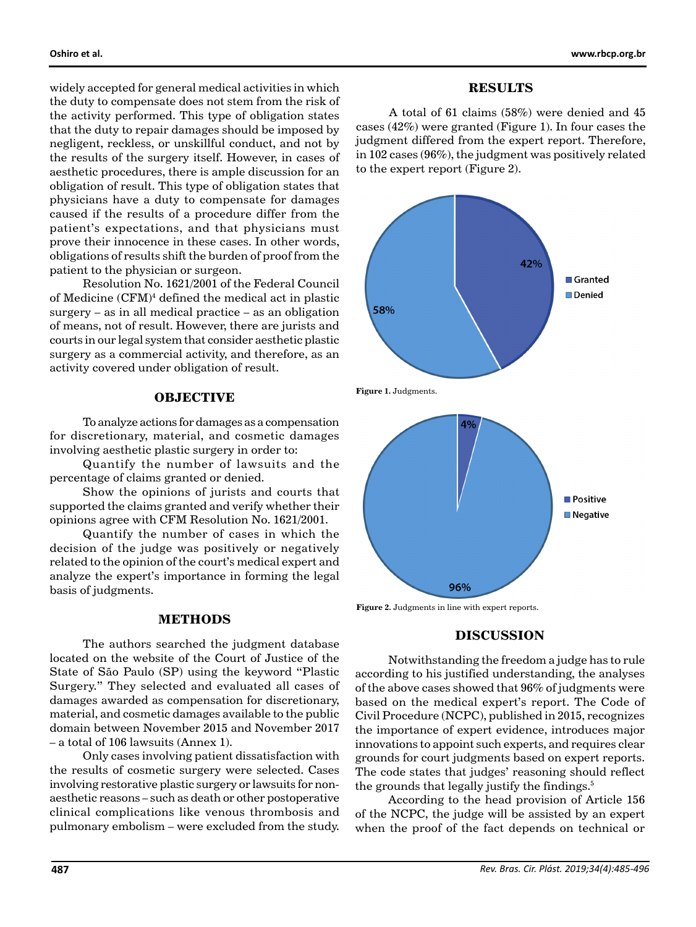widely accepted for general medical activities in which the duty to compensate does not stem from the risk of the activity performed. This type of obligation states that the duty to repair damages should be imposed by negligent, reckless, or unskillful conduct, and not by the results of the surgery itself. However, in cases of aesthetic procedures, there is ample discussion for an obligation of result. This type of obligation states that physicians have a duty to compensate for damages caused if the results of a procedure differ from the patient's expectations, and that physicians must prove their innocence in these cases. In other words, obligations of results shift the burden of proof from the patient to the physician or surgeon.

Resolution No. 1621/2001 of the Federal Council of Medicine (CFM)4 defined the medical act in plastic surgery – as in all medical practice – as an obligation of means, not of result. However, there are jurists and courts in our legal system that consider aesthetic plastic surgery as a commercial activity, and therefore, as an activity covered under obligation of result.

# **OBJECTIVE**

To analyze actions for damages as a compensation for discretionary, material, and cosmetic damages involving aesthetic plastic surgery in order to:

Quantify the number of lawsuits and the percentage of claims granted or denied.

Show the opinions of jurists and courts that supported the claims granted and verify whether their opinions agree with CFM Resolution No. 1621/2001.

Quantify the number of cases in which the decision of the judge was positively or negatively related to the opinion of the court's medical expert and analyze the expert's importance in forming the legal basis of judgments.

# **METHODS**

The authors searched the judgment database located on the website of the Court of Justice of the State of São Paulo (SP) using the keyword "Plastic Surgery." They selected and evaluated all cases of damages awarded as compensation for discretionary, material, and cosmetic damages available to the public domain between November 2015 and November 2017 – a total of 106 lawsuits (Annex 1).

Only cases involving patient dissatisfaction with the results of cosmetic surgery were selected. Cases involving restorative plastic surgery or lawsuits for nonaesthetic reasons – such as death or other postoperative clinical complications like venous thrombosis and pulmonary embolism – were excluded from the study.

### **RESULTS**

A total of 61 claims (58%) were denied and 45 cases (42%) were granted (Figure 1). In four cases the judgment differed from the expert report. Therefore, in 102 cases (96%), the judgment was positively related to the expert report (Figure 2).



**Figure 2.** Judgments in line with expert reports.

# **DISCUSSION**

Notwithstanding the freedom a judge has to rule according to his justified understanding, the analyses of the above cases showed that 96% of judgments were based on the medical expert's report. The Code of Civil Procedure (NCPC), published in 2015, recognizes the importance of expert evidence, introduces major innovations to appoint such experts, and requires clear grounds for court judgments based on expert reports. The code states that judges' reasoning should reflect the grounds that legally justify the findings.<sup>5</sup>

According to the head provision of Article 156 of the NCPC, the judge will be assisted by an expert when the proof of the fact depends on technical or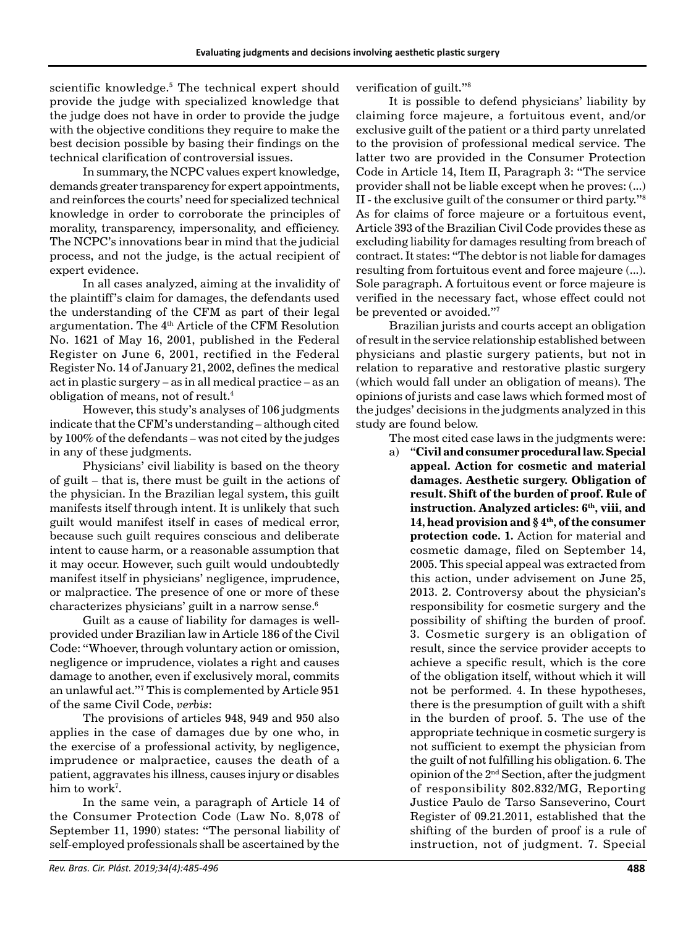scientific knowledge.5 The technical expert should provide the judge with specialized knowledge that the judge does not have in order to provide the judge with the objective conditions they require to make the best decision possible by basing their findings on the technical clarification of controversial issues.

In summary, the NCPC values expert knowledge, demands greater transparency for expert appointments, and reinforces the courts' need for specialized technical knowledge in order to corroborate the principles of morality, transparency, impersonality, and efficiency. The NCPC's innovations bear in mind that the judicial process, and not the judge, is the actual recipient of expert evidence.

In all cases analyzed, aiming at the invalidity of the plaintiff's claim for damages, the defendants used the understanding of the CFM as part of their legal argumentation. The 4<sup>th</sup> Article of the CFM Resolution No. 1621 of May 16, 2001, published in the Federal Register on June 6, 2001, rectified in the Federal Register No. 14 of January 21, 2002, defines the medical act in plastic surgery – as in all medical practice – as an obligation of means, not of result.4

However, this study's analyses of 106 judgments indicate that the CFM's understanding – although cited by 100% of the defendants – was not cited by the judges in any of these judgments.

Physicians' civil liability is based on the theory of guilt – that is, there must be guilt in the actions of the physician. In the Brazilian legal system, this guilt manifests itself through intent. It is unlikely that such guilt would manifest itself in cases of medical error, because such guilt requires conscious and deliberate intent to cause harm, or a reasonable assumption that it may occur. However, such guilt would undoubtedly manifest itself in physicians' negligence, imprudence, or malpractice. The presence of one or more of these characterizes physicians' guilt in a narrow sense.6

Guilt as a cause of liability for damages is wellprovided under Brazilian law in Article 186 of the Civil Code: "Whoever, through voluntary action or omission, negligence or imprudence, violates a right and causes damage to another, even if exclusively moral, commits an unlawful act."7 This is complemented by Article 951 of the same Civil Code, *verbis*:

The provisions of articles 948, 949 and 950 also applies in the case of damages due by one who, in the exercise of a professional activity, by negligence, imprudence or malpractice, causes the death of a patient, aggravates his illness, causes injury or disables  $\rm{him}$  to work $^7$ .

In the same vein, a paragraph of Article 14 of the Consumer Protection Code (Law No. 8,078 of September 11, 1990) states: "The personal liability of self-employed professionals shall be ascertained by the

It is possible to defend physicians' liability by claiming force majeure, a fortuitous event, and/or exclusive guilt of the patient or a third party unrelated to the provision of professional medical service. The latter two are provided in the Consumer Protection Code in Article 14, Item II, Paragraph 3: "The service provider shall not be liable except when he proves: (...) II - the exclusive guilt of the consumer or third party."8 As for claims of force majeure or a fortuitous event, Article 393 of the Brazilian Civil Code provides these as excluding liability for damages resulting from breach of contract. It states: "The debtor is not liable for damages resulting from fortuitous event and force majeure (...). Sole paragraph. A fortuitous event or force majeure is verified in the necessary fact, whose effect could not be prevented or avoided."7

Brazilian jurists and courts accept an obligation of result in the service relationship established between physicians and plastic surgery patients, but not in relation to reparative and restorative plastic surgery (which would fall under an obligation of means). The opinions of jurists and case laws which formed most of the judges' decisions in the judgments analyzed in this study are found below.

The most cited case laws in the judgments were:

a) "**Civil and consumer procedural law. Special appeal. Action for cosmetic and material damages. Aesthetic surgery. Obligation of result. Shift of the burden of proof. Rule of**  instruction. Analyzed articles: 6<sup>th</sup>, viii, and **14, head provision and § 4th, of the consumer protection code. 1.** Action for material and cosmetic damage, filed on September 14, 2005. This special appeal was extracted from this action, under advisement on June 25, 2013. 2. Controversy about the physician's responsibility for cosmetic surgery and the possibility of shifting the burden of proof. 3. Cosmetic surgery is an obligation of result, since the service provider accepts to achieve a specific result, which is the core of the obligation itself, without which it will not be performed. 4. In these hypotheses, there is the presumption of guilt with a shift in the burden of proof. 5. The use of the appropriate technique in cosmetic surgery is not sufficient to exempt the physician from the guilt of not fulfilling his obligation. 6. The opinion of the 2nd Section, after the judgment of responsibility 802.832/MG, Reporting Justice Paulo de Tarso Sanseverino, Court Register of 09.21.2011, established that the shifting of the burden of proof is a rule of instruction, not of judgment. 7. Special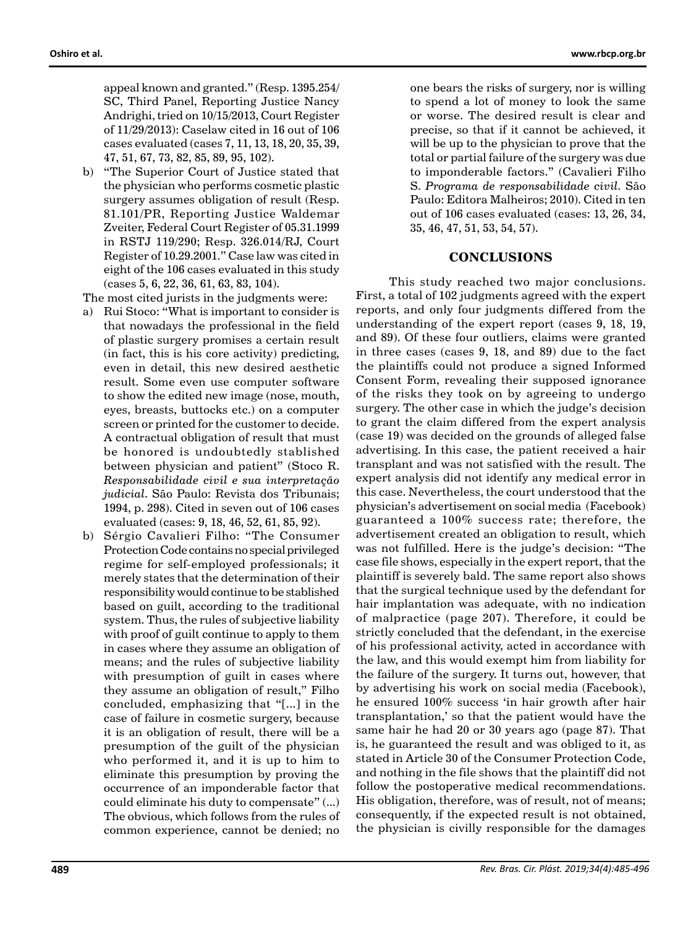appeal known and granted." (Resp. 1395.254/ SC, Third Panel, Reporting Justice Nancy Andrighi, tried on 10/15/2013, Court Register of 11/29/2013): Caselaw cited in 16 out of 106 cases evaluated (cases 7, 11, 13, 18, 20, 35, 39, 47, 51, 67, 73, 82, 85, 89, 95, 102).

b) "The Superior Court of Justice stated that the physician who performs cosmetic plastic surgery assumes obligation of result (Resp. 81.101/PR, Reporting Justice Waldemar Zveiter, Federal Court Register of 05.31.1999 in RSTJ 119/290; Resp. 326.014/RJ, Court Register of 10.29.2001." Case law was cited in eight of the 106 cases evaluated in this study (cases 5, 6, 22, 36, 61, 63, 83, 104).

The most cited jurists in the judgments were:

- a) Rui Stoco: "What is important to consider is that nowadays the professional in the field of plastic surgery promises a certain result (in fact, this is his core activity) predicting, even in detail, this new desired aesthetic result. Some even use computer software to show the edited new image (nose, mouth, eyes, breasts, buttocks etc.) on a computer screen or printed for the customer to decide. A contractual obligation of result that must be honored is undoubtedly stablished between physician and patient" (Stoco R. *Responsabilidade civil e sua interpretação judicial*. São Paulo: Revista dos Tribunais; 1994, p. 298). Cited in seven out of 106 cases evaluated (cases: 9, 18, 46, 52, 61, 85, 92).
- b) Sérgio Cavalieri Filho: "The Consumer Protection Code contains no special privileged regime for self-employed professionals; it merely states that the determination of their responsibility would continue to be stablished based on guilt, according to the traditional system. Thus, the rules of subjective liability with proof of guilt continue to apply to them in cases where they assume an obligation of means; and the rules of subjective liability with presumption of guilt in cases where they assume an obligation of result," Filho concluded, emphasizing that "[...] in the case of failure in cosmetic surgery, because it is an obligation of result, there will be a presumption of the guilt of the physician who performed it, and it is up to him to eliminate this presumption by proving the occurrence of an imponderable factor that could eliminate his duty to compensate" (...) The obvious, which follows from the rules of common experience, cannot be denied; no

one bears the risks of surgery, nor is willing to spend a lot of money to look the same or worse. The desired result is clear and precise, so that if it cannot be achieved, it will be up to the physician to prove that the total or partial failure of the surgery was due to imponderable factors." (Cavalieri Filho S. *Programa de responsabilidade civil*. São Paulo: Editora Malheiros; 2010). Cited in ten out of 106 cases evaluated (cases: 13, 26, 34, 35, 46, 47, 51, 53, 54, 57).

#### **CONCLUSIONS**

This study reached two major conclusions. First, a total of 102 judgments agreed with the expert reports, and only four judgments differed from the understanding of the expert report (cases 9, 18, 19, and 89). Of these four outliers, claims were granted in three cases (cases 9, 18, and 89) due to the fact the plaintiffs could not produce a signed Informed Consent Form, revealing their supposed ignorance of the risks they took on by agreeing to undergo surgery. The other case in which the judge's decision to grant the claim differed from the expert analysis (case 19) was decided on the grounds of alleged false advertising. In this case, the patient received a hair transplant and was not satisfied with the result. The expert analysis did not identify any medical error in this case. Nevertheless, the court understood that the physician's advertisement on social media (Facebook) guaranteed a 100% success rate; therefore, the advertisement created an obligation to result, which was not fulfilled. Here is the judge's decision: "The case file shows, especially in the expert report, that the plaintiff is severely bald. The same report also shows that the surgical technique used by the defendant for hair implantation was adequate, with no indication of malpractice (page 207). Therefore, it could be strictly concluded that the defendant, in the exercise of his professional activity, acted in accordance with the law, and this would exempt him from liability for the failure of the surgery. It turns out, however, that by advertising his work on social media (Facebook), he ensured 100% success 'in hair growth after hair transplantation,' so that the patient would have the same hair he had 20 or 30 years ago (page 87). That is, he guaranteed the result and was obliged to it, as stated in Article 30 of the Consumer Protection Code, and nothing in the file shows that the plaintiff did not follow the postoperative medical recommendations. His obligation, therefore, was of result, not of means; consequently, if the expected result is not obtained, the physician is civilly responsible for the damages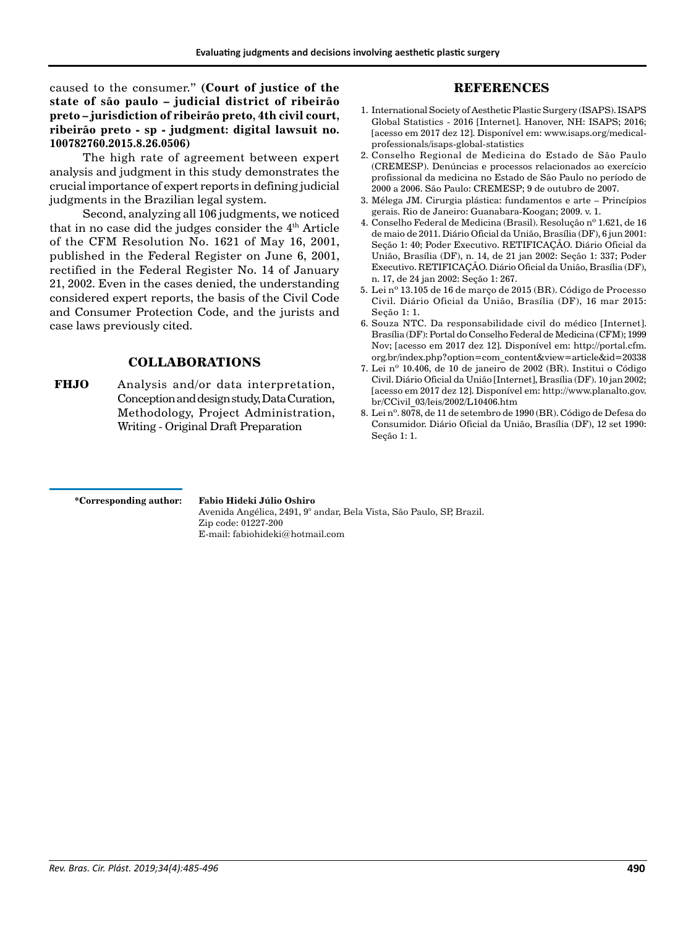caused to the consumer." **(Court of justice of the state of são paulo – judicial district of ribeirão preto – jurisdiction of ribeirão preto, 4th civil court, ribeirão preto - sp - judgment: digital lawsuit no. 100782760.2015.8.26.0506)**

The high rate of agreement between expert analysis and judgment in this study demonstrates the crucial importance of expert reports in defining judicial judgments in the Brazilian legal system.

Second, analyzing all 106 judgments, we noticed that in no case did the judges consider the  $4<sup>th</sup>$  Article of the CFM Resolution No. 1621 of May 16, 2001, published in the Federal Register on June 6, 2001, rectified in the Federal Register No. 14 of January 21, 2002. Even in the cases denied, the understanding considered expert reports, the basis of the Civil Code and Consumer Protection Code, and the jurists and case laws previously cited.

# **COLLABORATIONS**

**FHJO** Analysis and/or data interpretation, Conception and design study, Data Curation, Methodology, Project Administration, Writing - Original Draft Preparation

# **REFERENCES**

- 1. International Society of Aesthetic Plastic Surgery (ISAPS). ISAPS Global Statistics - 2016 [Internet]. Hanover, NH: ISAPS; 2016; [acesso em 2017 dez 12]. Disponível em: www.isaps.org/medicalprofessionals/isaps-global-statistics
- 2. Conselho Regional de Medicina do Estado de São Paulo (CREMESP). Denúncias e processos relacionados ao exercício profissional da medicina no Estado de São Paulo no período de 2000 a 2006. São Paulo: CREMESP; 9 de outubro de 2007.
- 3. Mélega JM. Cirurgia plástica: fundamentos e arte Princípios gerais. Rio de Janeiro: Guanabara-Koogan; 2009. v. 1.
- 4. Conselho Federal de Medicina (Brasil). Resolução nº 1.621, de 16 de maio de 2011. Diário Oficial da União, Brasília (DF), 6 jun 2001: Seção 1: 40; Poder Executivo. RETIFICAÇÃO. Diário Oficial da União, Brasília (DF), n. 14, de 21 jan 2002: Seção 1: 337; Poder Executivo. RETIFICAÇÃO. Diário Oficial da União, Brasília (DF), n. 17, de 24 jan 2002: Seção 1: 267.
- 5. Lei nº 13.105 de 16 de março de 2015 (BR). Código de Processo Civil. Diário Oficial da União, Brasília (DF), 16 mar 2015: Seção 1: 1.
- 6. Souza NTC. Da responsabilidade civil do médico [Internet]. Brasília (DF): Portal do Conselho Federal de Medicina (CFM); 1999 Nov; [acesso em 2017 dez 12]. Disponível em: http://portal.cfm. org.br/index.php?option=com\_content&view=article&id=20338
- 7. Lei nº 10.406, de 10 de janeiro de 2002 (BR). Institui o Código Civil. Diário Oficial da União [Internet], Brasília (DF). 10 jan 2002; [acesso em 2017 dez 12]. Disponível em: http://www.planalto.gov. br/CCivil\_03/leis/2002/L10406.htm
- 8. Lei nº. 8078, de 11 de setembro de 1990 (BR). Código de Defesa do Consumidor. Diário Oficial da União, Brasília (DF), 12 set 1990: Seção 1: 1.

**\*Corresponding author:**

# **Fabio Hideki Júlio Oshiro**

Avenida Angélica, 2491, 9° andar, Bela Vista, São Paulo, SP, Brazil. Zip code: 01227-200 E-mail: fabiohideki@hotmail.com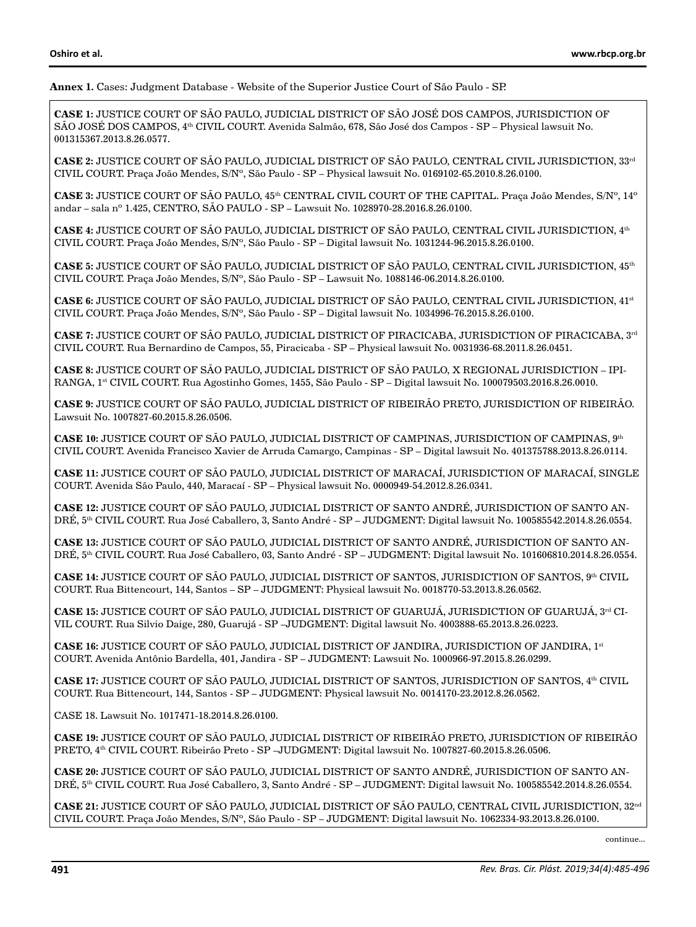#### **Annex 1.** Cases: Judgment Database - Website of the Superior Justice Court of São Paulo - SP.

**CASE 1:** JUSTICE COURT OF SÃO PAULO, JUDICIAL DISTRICT OF SÃO JOSÉ DOS CAMPOS, JURISDICTION OF SÃO JOSÉ DOS CAMPOS, 4th CIVIL COURT. Avenida Salmão, 678, São José dos Campos - SP – Physical lawsuit No. 001315367.2013.8.26.0577.

**CASE 2:** JUSTICE COURT OF SÃO PAULO, JUDICIAL DISTRICT OF SÃO PAULO, CENTRAL CIVIL JURISDICTION, 33rd CIVIL COURT. Praça João Mendes, S/Nº, São Paulo - SP – Physical lawsuit No. 0169102-65.2010.8.26.0100.

**CASE 3:** JUSTICE COURT OF SÃO PAULO, 45th CENTRAL CIVIL COURT OF THE CAPITAL. Praça João Mendes, S/Nº, 14º andar – sala nº 1.425, CENTRO, SÃO PAULO - SP – Lawsuit No. 1028970-28.2016.8.26.0100.

**CASE 4:** JUSTICE COURT OF SÃO PAULO, JUDICIAL DISTRICT OF SÃO PAULO, CENTRAL CIVIL JURISDICTION, 4th CIVIL COURT. Praça João Mendes, S/Nº, São Paulo - SP – Digital lawsuit No. 1031244-96.2015.8.26.0100.

**CASE 5:** JUSTICE COURT OF SÃO PAULO, JUDICIAL DISTRICT OF SÃO PAULO, CENTRAL CIVIL JURISDICTION, 45th CIVIL COURT. Praça João Mendes, S/Nº, São Paulo - SP – Lawsuit No. 1088146-06.2014.8.26.0100.

**CASE 6:** JUSTICE COURT OF SÃO PAULO, JUDICIAL DISTRICT OF SÃO PAULO, CENTRAL CIVIL JURISDICTION, 41st CIVIL COURT. Praça João Mendes, S/Nº, São Paulo - SP – Digital lawsuit No. 1034996-76.2015.8.26.0100.

**CASE 7:** JUSTICE COURT OF SÃO PAULO, JUDICIAL DISTRICT OF PIRACICABA, JURISDICTION OF PIRACICABA, 3rd CIVIL COURT. Rua Bernardino de Campos, 55, Piracicaba - SP – Physical lawsuit No. 0031936-68.2011.8.26.0451.

**CASE 8:** JUSTICE COURT OF SÃO PAULO, JUDICIAL DISTRICT OF SÃO PAULO, X REGIONAL JURISDICTION – IPI-RANGA, 1st CIVIL COURT. Rua Agostinho Gomes, 1455, São Paulo - SP – Digital lawsuit No. 100079503.2016.8.26.0010.

**CASE 9:** JUSTICE COURT OF SÃO PAULO, JUDICIAL DISTRICT OF RIBEIRÃO PRETO, JURISDICTION OF RIBEIRÃO. Lawsuit No. 1007827-60.2015.8.26.0506.

**CASE 10:** JUSTICE COURT OF SÃO PAULO, JUDICIAL DISTRICT OF CAMPINAS, JURISDICTION OF CAMPINAS, 9th CIVIL COURT. Avenida Francisco Xavier de Arruda Camargo, Campinas - SP – Digital lawsuit No. 401375788.2013.8.26.0114.

**CASE 11:** JUSTICE COURT OF SÃO PAULO, JUDICIAL DISTRICT OF MARACAÍ, JURISDICTION OF MARACAÍ, SINGLE COURT. Avenida São Paulo, 440, Maracaí - SP – Physical lawsuit No. 0000949-54.2012.8.26.0341.

**CASE 12:** JUSTICE COURT OF SÃO PAULO, JUDICIAL DISTRICT OF SANTO ANDRÉ, JURISDICTION OF SANTO AN-DRÉ, 5th CIVIL COURT. Rua José Caballero, 3, Santo André - SP – JUDGMENT: Digital lawsuit No. 100585542.2014.8.26.0554.

**CASE 13:** JUSTICE COURT OF SÃO PAULO, JUDICIAL DISTRICT OF SANTO ANDRÉ, JURISDICTION OF SANTO AN-DRÉ, 5th CIVIL COURT. Rua José Caballero, 03, Santo André - SP – JUDGMENT: Digital lawsuit No. 101606810.2014.8.26.0554.

**CASE 14:** JUSTICE COURT OF SÃO PAULO, JUDICIAL DISTRICT OF SANTOS, JURISDICTION OF SANTOS, 9<sup>th</sup> CIVIL COURT. Rua Bittencourt, 144, Santos – SP – JUDGMENT: Physical lawsuit No. 0018770-53.2013.8.26.0562.

**CASE 15: JUSTICE COURT OF SÃO PAULO, JUDICIAL DISTRICT OF GUARUJÁ, JURISDICTION OF GUARUJÁ, 3rd CI-**VIL COURT. Rua Silvio Daige, 280, Guarujá - SP –JUDGMENT: Digital lawsuit No. 4003888-65.2013.8.26.0223.

**CASE 16:** JUSTICE COURT OF SÃO PAULO, JUDICIAL DISTRICT OF JANDIRA, JURISDICTION OF JANDIRA, 1st COURT. Avenida Antônio Bardella, 401, Jandira - SP – JUDGMENT: Lawsuit No. 1000966-97.2015.8.26.0299.

**CASE 17: JUSTICE COURT OF SÃO PAULO, JUDICIAL DISTRICT OF SANTOS, JURISDICTION OF SANTOS, 4<sup>th</sup> CIVIL** COURT. Rua Bittencourt, 144, Santos - SP – JUDGMENT: Physical lawsuit No. 0014170-23.2012.8.26.0562.

CASE 18. Lawsuit No. 1017471-18.2014.8.26.0100.

**CASE 19:** JUSTICE COURT OF SÃO PAULO, JUDICIAL DISTRICT OF RIBEIRÃO PRETO, JURISDICTION OF RIBEIRÃO PRETO, 4th CIVIL COURT. Ribeirão Preto - SP –JUDGMENT: Digital lawsuit No. 1007827-60.2015.8.26.0506.

**CASE 20:** JUSTICE COURT OF SÃO PAULO, JUDICIAL DISTRICT OF SANTO ANDRÉ, JURISDICTION OF SANTO AN-DRÉ, 5th CIVIL COURT. Rua José Caballero, 3, Santo André - SP – JUDGMENT: Digital lawsuit No. 100585542.2014.8.26.0554.

**CASE 21:** JUSTICE COURT OF SÃO PAULO, JUDICIAL DISTRICT OF SÃO PAULO, CENTRAL CIVIL JURISDICTION, 32nd CIVIL COURT. Praça João Mendes, S/Nº, São Paulo - SP – JUDGMENT: Digital lawsuit No. 1062334-93.2013.8.26.0100.

continue...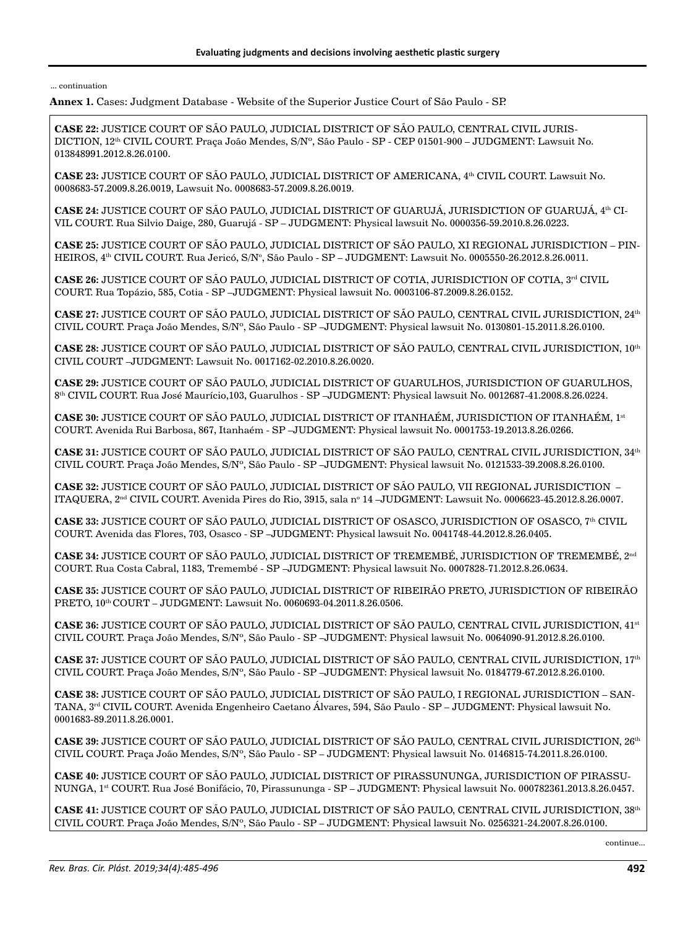**Annex 1.** Cases: Judgment Database - Website of the Superior Justice Court of São Paulo - SP.

**CASE 22:** JUSTICE COURT OF SÃO PAULO, JUDICIAL DISTRICT OF SÃO PAULO, CENTRAL CIVIL JURIS-DICTION, 12th CIVIL COURT. Praça João Mendes, S/Nº, São Paulo - SP - CEP 01501-900 – JUDGMENT: Lawsuit No. 013848991.2012.8.26.0100.

**CASE 23:** JUSTICE COURT OF SÃO PAULO, JUDICIAL DISTRICT OF AMERICANA, 4th CIVIL COURT. Lawsuit No. 0008683-57.2009.8.26.0019, Lawsuit No. 0008683-57.2009.8.26.0019.

**CASE 24:** JUSTICE COURT OF SÃO PAULO, JUDICIAL DISTRICT OF GUARUJÁ, JURISDICTION OF GUARUJÁ, 4th CI-VIL COURT. Rua Silvio Daige, 280, Guarujá - SP – JUDGMENT: Physical lawsuit No. 0000356-59.2010.8.26.0223.

**CASE 25:** JUSTICE COURT OF SÃO PAULO, JUDICIAL DISTRICT OF SÃO PAULO, XI REGIONAL JURISDICTION – PIN-HEIROS, 4ª CIVIL COURT. Rua Jericó, S/Nº, São Paulo - SP – JUDGMENT: Lawsuit No. 0005550-26.2012.8.26.0011.

**CASE 26:** JUSTICE COURT OF SÃO PAULO, JUDICIAL DISTRICT OF COTIA, JURISDICTION OF COTIA, 3<sup>rd</sup> CIVIL COURT. Rua Topázio, 585, Cotia - SP –JUDGMENT: Physical lawsuit No. 0003106-87.2009.8.26.0152.

**CASE 27:** JUSTICE COURT OF SÃO PAULO, JUDICIAL DISTRICT OF SÃO PAULO, CENTRAL CIVIL JURISDICTION, 24th CIVIL COURT. Praça João Mendes, S/Nº, São Paulo - SP –JUDGMENT: Physical lawsuit No. 0130801-15.2011.8.26.0100.

**CASE 28:** JUSTICE COURT OF SÃO PAULO, JUDICIAL DISTRICT OF SÃO PAULO, CENTRAL CIVIL JURISDICTION, 10th CIVIL COURT –JUDGMENT: Lawsuit No. 0017162-02.2010.8.26.0020.

**CASE 29:** JUSTICE COURT OF SÃO PAULO, JUDICIAL DISTRICT OF GUARULHOS, JURISDICTION OF GUARULHOS, 8th CIVIL COURT. Rua José Maurício,103, Guarulhos - SP –JUDGMENT: Physical lawsuit No. 0012687-41.2008.8.26.0224.

**CASE 30:** JUSTICE COURT OF SÃO PAULO, JUDICIAL DISTRICT OF ITANHAÉM, JURISDICTION OF ITANHAÉM, 1st COURT. Avenida Rui Barbosa, 867, Itanhaém - SP –JUDGMENT: Physical lawsuit No. 0001753-19.2013.8.26.0266.

**CASE 31:** JUSTICE COURT OF SÃO PAULO, JUDICIAL DISTRICT OF SÃO PAULO, CENTRAL CIVIL JURISDICTION, 34th CIVIL COURT. Praça João Mendes, S/Nº, São Paulo - SP –JUDGMENT: Physical lawsuit No. 0121533-39.2008.8.26.0100.

**CASE 32:** JUSTICE COURT OF SÃO PAULO, JUDICIAL DISTRICT OF SÃO PAULO, VII REGIONAL JURISDICTION – ITAQUERA, 2¤ª CIVIL COURT. Avenida Pires do Rio, 3915, sala n° 14 –JUDGMENT: Lawsuit No. 0006623-45.2012.8.26.0007.

**CASE 33:** JUSTICE COURT OF SÃO PAULO, JUDICIAL DISTRICT OF OSASCO, JURISDICTION OF OSASCO, 7th CIVIL COURT. Avenida das Flores, 703, Osasco - SP –JUDGMENT: Physical lawsuit No. 0041748-44.2012.8.26.0405.

**CASE 34:** JUSTICE COURT OF SÃO PAULO, JUDICIAL DISTRICT OF TREMEMBÉ, JURISDICTION OF TREMEMBÉ, 2nd COURT. Rua Costa Cabral, 1183, Tremembé - SP –JUDGMENT: Physical lawsuit No. 0007828-71.2012.8.26.0634.

**CASE 35:** JUSTICE COURT OF SÃO PAULO, JUDICIAL DISTRICT OF RIBEIRÃO PRETO, JURISDICTION OF RIBEIRÃO PRETO, 10th COURT – JUDGMENT: Lawsuit No. 0060693-04.2011.8.26.0506.

**CASE 36:** JUSTICE COURT OF SÃO PAULO, JUDICIAL DISTRICT OF SÃO PAULO, CENTRAL CIVIL JURISDICTION, 41st CIVIL COURT. Praça João Mendes, S/Nº, São Paulo - SP –JUDGMENT: Physical lawsuit No. 0064090-91.2012.8.26.0100.

**CASE 37:** JUSTICE COURT OF SÃO PAULO, JUDICIAL DISTRICT OF SÃO PAULO, CENTRAL CIVIL JURISDICTION, 17th CIVIL COURT. Praça João Mendes, S/Nº, São Paulo - SP –JUDGMENT: Physical lawsuit No. 0184779-67.2012.8.26.0100.

**CASE 38:** JUSTICE COURT OF SÃO PAULO, JUDICIAL DISTRICT OF SÃO PAULO, I REGIONAL JURISDICTION – SAN-TANA, 3rd CIVIL COURT. Avenida Engenheiro Caetano Álvares, 594, São Paulo - SP – JUDGMENT: Physical lawsuit No. 0001683-89.2011.8.26.0001.

**CASE 39:** JUSTICE COURT OF SÃO PAULO, JUDICIAL DISTRICT OF SÃO PAULO, CENTRAL CIVIL JURISDICTION, 26th CIVIL COURT. Praça João Mendes, S/Nº, São Paulo - SP – JUDGMENT: Physical lawsuit No. 0146815-74.2011.8.26.0100.

**CASE 40:** JUSTICE COURT OF SÃO PAULO, JUDICIAL DISTRICT OF PIRASSUNUNGA, JURISDICTION OF PIRASSU-NUNGA, 1st COURT. Rua José Bonifácio, 70, Pirassununga - SP – JUDGMENT: Physical lawsuit No. 000782361.2013.8.26.0457.

**CASE 41:** JUSTICE COURT OF SÃO PAULO, JUDICIAL DISTRICT OF SÃO PAULO, CENTRAL CIVIL JURISDICTION, 38th CIVIL COURT. Praça João Mendes, S/Nº, São Paulo - SP – JUDGMENT: Physical lawsuit No. 0256321-24.2007.8.26.0100.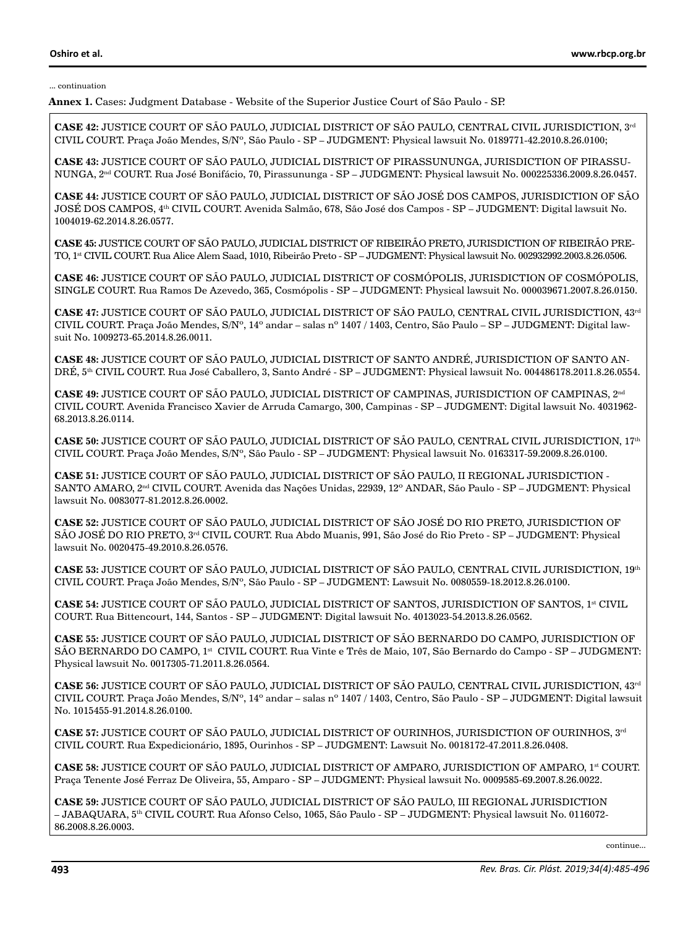**Annex 1.** Cases: Judgment Database - Website of the Superior Justice Court of São Paulo - SP.

**CASE 42:** JUSTICE COURT OF SÃO PAULO, JUDICIAL DISTRICT OF SÃO PAULO, CENTRAL CIVIL JURISDICTION, 3rd CIVIL COURT. Praça João Mendes, S/Nº, São Paulo - SP – JUDGMENT: Physical lawsuit No. 0189771-42.2010.8.26.0100;

**CASE 43:** JUSTICE COURT OF SÃO PAULO, JUDICIAL DISTRICT OF PIRASSUNUNGA, JURISDICTION OF PIRASSU-NUNGA, 2nd COURT. Rua José Bonifácio, 70, Pirassununga - SP – JUDGMENT: Physical lawsuit No. 000225336.2009.8.26.0457.

**CASE 44:** JUSTICE COURT OF SÃO PAULO, JUDICIAL DISTRICT OF SÃO JOSÉ DOS CAMPOS, JURISDICTION OF SÃO JOSÉ DOS CAMPOS, 4th CIVIL COURT. Avenida Salmão, 678, São José dos Campos - SP – JUDGMENT: Digital lawsuit No. 1004019-62.2014.8.26.0577.

**CASE 45:** JUSTICE COURT OF SÃO PAULO, JUDICIAL DISTRICT OF RIBEIRÃO PRETO, JURISDICTION OF RIBEIRÃO PRE-TO, 1st CIVIL COURT. Rua Alice Alem Saad, 1010, Ribeirão Preto - SP – JUDGMENT: Physical lawsuit No. 002932992.2003.8.26.0506.

**CASE 46:** JUSTICE COURT OF SÃO PAULO, JUDICIAL DISTRICT OF COSMÓPOLIS, JURISDICTION OF COSMÓPOLIS, SINGLE COURT. Rua Ramos De Azevedo, 365, Cosmópolis - SP – JUDGMENT: Physical lawsuit No. 000039671.2007.8.26.0150.

**CASE 47:** JUSTICE COURT OF SÃO PAULO, JUDICIAL DISTRICT OF SÃO PAULO, CENTRAL CIVIL JURISDICTION, 43rd CIVIL COURT. Praça João Mendes, S/Nº, 14º andar – salas nº 1407 / 1403, Centro, São Paulo – SP – JUDGMENT: Digital lawsuit No. 1009273-65.2014.8.26.0011.

**CASE 48:** JUSTICE COURT OF SÃO PAULO, JUDICIAL DISTRICT OF SANTO ANDRÉ, JURISDICTION OF SANTO AN-DRÉ, 5th CIVIL COURT. Rua José Caballero, 3, Santo André - SP – JUDGMENT: Physical lawsuit No. 004486178.2011.8.26.0554.

**CASE 49:** JUSTICE COURT OF SÃO PAULO, JUDICIAL DISTRICT OF CAMPINAS, JURISDICTION OF CAMPINAS, 2nd CIVIL COURT. Avenida Francisco Xavier de Arruda Camargo, 300, Campinas - SP – JUDGMENT: Digital lawsuit No. 4031962- 68.2013.8.26.0114.

**CASE 50:** JUSTICE COURT OF SÃO PAULO, JUDICIAL DISTRICT OF SÃO PAULO, CENTRAL CIVIL JURISDICTION, 17th CIVIL COURT. Praça João Mendes, S/Nº, São Paulo - SP – JUDGMENT: Physical lawsuit No. 0163317-59.2009.8.26.0100.

**CASE 51:** JUSTICE COURT OF SÃO PAULO, JUDICIAL DISTRICT OF SÃO PAULO, II REGIONAL JURISDICTION - SANTO AMARO, 2nd CIVIL COURT. Avenida das Nações Unidas, 22939, 12º ANDAR, São Paulo - SP – JUDGMENT: Physical lawsuit No. 0083077-81.2012.8.26.0002.

**CASE 52:** JUSTICE COURT OF SÃO PAULO, JUDICIAL DISTRICT OF SÃO JOSÉ DO RIO PRETO, JURISDICTION OF SÃO JOSÉ DO RIO PRETO, 3<sup>rd</sup> CIVIL COURT. Rua Abdo Muanis, 991, São José do Rio Preto - SP – JUDGMENT: Physical lawsuit No. 0020475-49.2010.8.26.0576.

**CASE 53:** JUSTICE COURT OF SÃO PAULO, JUDICIAL DISTRICT OF SÃO PAULO, CENTRAL CIVIL JURISDICTION, 19th CIVIL COURT. Praça João Mendes, S/Nº, São Paulo - SP – JUDGMENT: Lawsuit No. 0080559-18.2012.8.26.0100.

**CASE 54:** JUSTICE COURT OF SÃO PAULO, JUDICIAL DISTRICT OF SANTOS, JURISDICTION OF SANTOS, 1<sup>st</sup> CIVIL COURT. Rua Bittencourt, 144, Santos - SP – JUDGMENT: Digital lawsuit No. 4013023-54.2013.8.26.0562.

**CASE 55:** JUSTICE COURT OF SÃO PAULO, JUDICIAL DISTRICT OF SÃO BERNARDO DO CAMPO, JURISDICTION OF SÃO BERNARDO DO CAMPO, 1<sup>st</sup> CIVIL COURT. Rua Vinte e Três de Maio, 107, São Bernardo do Campo - SP – JUDGMENT: Physical lawsuit No. 0017305-71.2011.8.26.0564.

**CASE 56:** JUSTICE COURT OF SÃO PAULO, JUDICIAL DISTRICT OF SÃO PAULO, CENTRAL CIVIL JURISDICTION, 43rd CIVIL COURT. Praça João Mendes, S/Nº, 14º andar – salas nº 1407 / 1403, Centro, São Paulo - SP – JUDGMENT: Digital lawsuit No. 1015455-91.2014.8.26.0100.

**CASE 57:** JUSTICE COURT OF SÃO PAULO, JUDICIAL DISTRICT OF OURINHOS, JURISDICTION OF OURINHOS, 3rd CIVIL COURT. Rua Expedicionário, 1895, Ourinhos - SP – JUDGMENT: Lawsuit No. 0018172-47.2011.8.26.0408.

**CASE 58:** JUSTICE COURT OF SÃO PAULO, JUDICIAL DISTRICT OF AMPARO, JURISDICTION OF AMPARO, 1st COURT. Praça Tenente José Ferraz De Oliveira, 55, Amparo - SP – JUDGMENT: Physical lawsuit No. 0009585-69.2007.8.26.0022.

**CASE 59:** JUSTICE COURT OF SÃO PAULO, JUDICIAL DISTRICT OF SÃO PAULO, III REGIONAL JURISDICTION – JABAQUARA, 5th CIVIL COURT. Rua Afonso Celso, 1065, São Paulo - SP – JUDGMENT: Physical lawsuit No. 0116072- 86.2008.8.26.0003.

continue...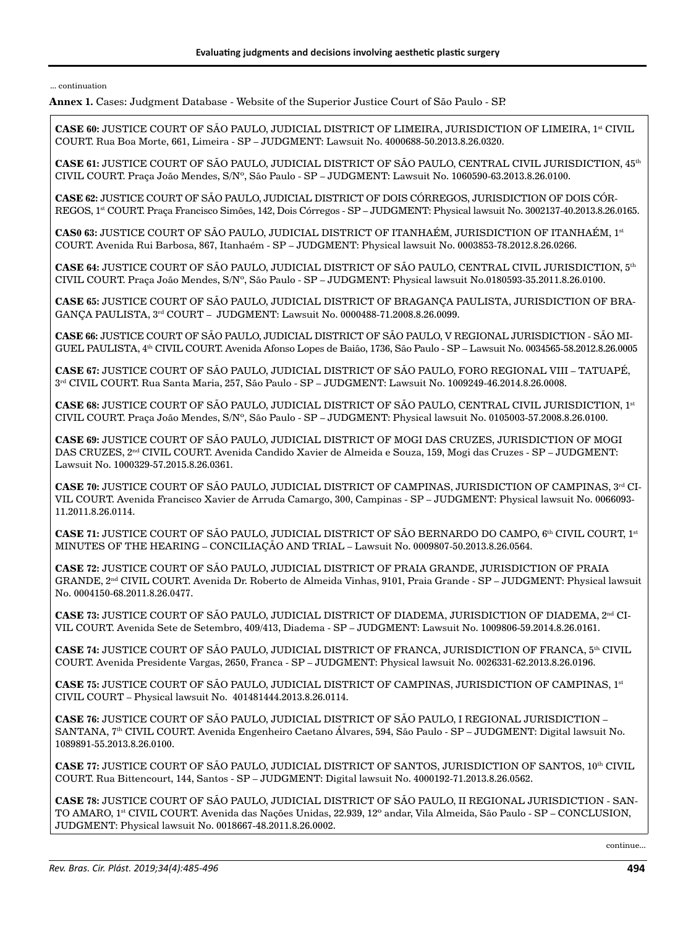**Annex 1.** Cases: Judgment Database - Website of the Superior Justice Court of São Paulo - SP.

**CASE 60:** JUSTICE COURT OF SÃO PAULO, JUDICIAL DISTRICT OF LIMEIRA, JURISDICTION OF LIMEIRA, 1<sup>st</sup> CIVIL COURT. Rua Boa Morte, 661, Limeira - SP – JUDGMENT: Lawsuit No. 4000688-50.2013.8.26.0320.

**CASE 61:** JUSTICE COURT OF SÃO PAULO, JUDICIAL DISTRICT OF SÃO PAULO, CENTRAL CIVIL JURISDICTION, 45th CIVIL COURT. Praça João Mendes, S/Nº, São Paulo - SP – JUDGMENT: Lawsuit No. 1060590-63.2013.8.26.0100.

**CASE 62:** JUSTICE COURT OF SÃO PAULO, JUDICIAL DISTRICT OF DOIS CÓRREGOS, JURISDICTION OF DOIS CÓR-REGOS, 1st COURT. Praça Francisco Simões, 142, Dois Córregos - SP – JUDGMENT: Physical lawsuit No. 3002137-40.2013.8.26.0165.

**CAS0 63:** JUSTICE COURT OF SÃO PAULO, JUDICIAL DISTRICT OF ITANHAÉM, JURISDICTION OF ITANHAÉM, 1st COURT. Avenida Rui Barbosa, 867, Itanhaém - SP – JUDGMENT: Physical lawsuit No. 0003853-78.2012.8.26.0266.

**CASE 64:** JUSTICE COURT OF SÃO PAULO, JUDICIAL DISTRICT OF SÃO PAULO, CENTRAL CIVIL JURISDICTION, 5th CIVIL COURT. Praça João Mendes, S/Nº, São Paulo - SP – JUDGMENT: Physical lawsuit No.0180593-35.2011.8.26.0100.

**CASE 65:** JUSTICE COURT OF SÃO PAULO, JUDICIAL DISTRICT OF BRAGANÇA PAULISTA, JURISDICTION OF BRA-GANÇA PAULISTA, 3rd COURT – JUDGMENT: Lawsuit No. 0000488-71.2008.8.26.0099.

**CASE 66:** JUSTICE COURT OF SÃO PAULO, JUDICIAL DISTRICT OF SÃO PAULO, V REGIONAL JURISDICTION - SÃO MI-GUEL PAULISTA, 4th CIVIL COURT. Avenida Afonso Lopes de Baião, 1736, São Paulo - SP – Lawsuit No. 0034565-58.2012.8.26.0005

**CASE 67:** JUSTICE COURT OF SÃO PAULO, JUDICIAL DISTRICT OF SÃO PAULO, FORO REGIONAL VIII – TATUAPÉ, 3rd CIVIL COURT. Rua Santa Maria, 257, São Paulo - SP – JUDGMENT: Lawsuit No. 1009249-46.2014.8.26.0008.

**CASE 68:** JUSTICE COURT OF SÃO PAULO, JUDICIAL DISTRICT OF SÃO PAULO, CENTRAL CIVIL JURISDICTION, 1st CIVIL COURT. Praça João Mendes, S/Nº, São Paulo - SP – JUDGMENT: Physical lawsuit No. 0105003-57.2008.8.26.0100.

**CASE 69:** JUSTICE COURT OF SÃO PAULO, JUDICIAL DISTRICT OF MOGI DAS CRUZES, JURISDICTION OF MOGI DAS CRUZES, 2nd CIVIL COURT. Avenida Candido Xavier de Almeida e Souza, 159, Mogi das Cruzes - SP – JUDGMENT: Lawsuit No. 1000329-57.2015.8.26.0361.

**CASE 70:** JUSTICE COURT OF SÃO PAULO, JUDICIAL DISTRICT OF CAMPINAS, JURISDICTION OF CAMPINAS, 3rd CI-VIL COURT. Avenida Francisco Xavier de Arruda Camargo, 300, Campinas - SP – JUDGMENT: Physical lawsuit No. 0066093- 11.2011.8.26.0114.

**CASE 71:** JUSTICE COURT OF SÃO PAULO, JUDICIAL DISTRICT OF SÃO BERNARDO DO CAMPO, 6<sup>th</sup> CIVIL COURT, 1<sup>st</sup> MINUTES OF THE HEARING – CONCILIAÇÃO AND TRIAL – Lawsuit No. 0009807-50.2013.8.26.0564.

**CASE 72:** JUSTICE COURT OF SÃO PAULO, JUDICIAL DISTRICT OF PRAIA GRANDE, JURISDICTION OF PRAIA GRANDE, 2nd CIVIL COURT. Avenida Dr. Roberto de Almeida Vinhas, 9101, Praia Grande - SP – JUDGMENT: Physical lawsuit No. 0004150-68.2011.8.26.0477.

**CASE 73:** JUSTICE COURT OF SÃO PAULO, JUDICIAL DISTRICT OF DIADEMA, JURISDICTION OF DIADEMA, 2nd CI-VIL COURT. Avenida Sete de Setembro, 409/413, Diadema - SP – JUDGMENT: Lawsuit No. 1009806-59.2014.8.26.0161.

**CASE 74:** JUSTICE COURT OF SÃO PAULO, JUDICIAL DISTRICT OF FRANCA, JURISDICTION OF FRANCA, 5th CIVIL COURT. Avenida Presidente Vargas, 2650, Franca - SP – JUDGMENT: Physical lawsuit No. 0026331-62.2013.8.26.0196.

**CASE 75:** JUSTICE COURT OF SÃO PAULO, JUDICIAL DISTRICT OF CAMPINAS, JURISDICTION OF CAMPINAS, 1st CIVIL COURT – Physical lawsuit No. 401481444.2013.8.26.0114.

**CASE 76:** JUSTICE COURT OF SÃO PAULO, JUDICIAL DISTRICT OF SÃO PAULO, I REGIONAL JURISDICTION – SANTANA, 7th CIVIL COURT. Avenida Engenheiro Caetano Álvares, 594, São Paulo - SP – JUDGMENT: Digital lawsuit No. 1089891-55.2013.8.26.0100.

**CASE 77:** JUSTICE COURT OF SÃO PAULO, JUDICIAL DISTRICT OF SANTOS, JURISDICTION OF SANTOS, 10<sup>th</sup> CIVIL COURT. Rua Bittencourt, 144, Santos - SP – JUDGMENT: Digital lawsuit No. 4000192-71.2013.8.26.0562.

**CASE 78:** JUSTICE COURT OF SÃO PAULO, JUDICIAL DISTRICT OF SÃO PAULO, II REGIONAL JURISDICTION - SAN-TO AMARO, 1st CIVIL COURT. Avenida das Nações Unidas, 22.939, 12º andar, Vila Almeida, São Paulo - SP – CONCLUSION, JUDGMENT: Physical lawsuit No. 0018667-48.2011.8.26.0002.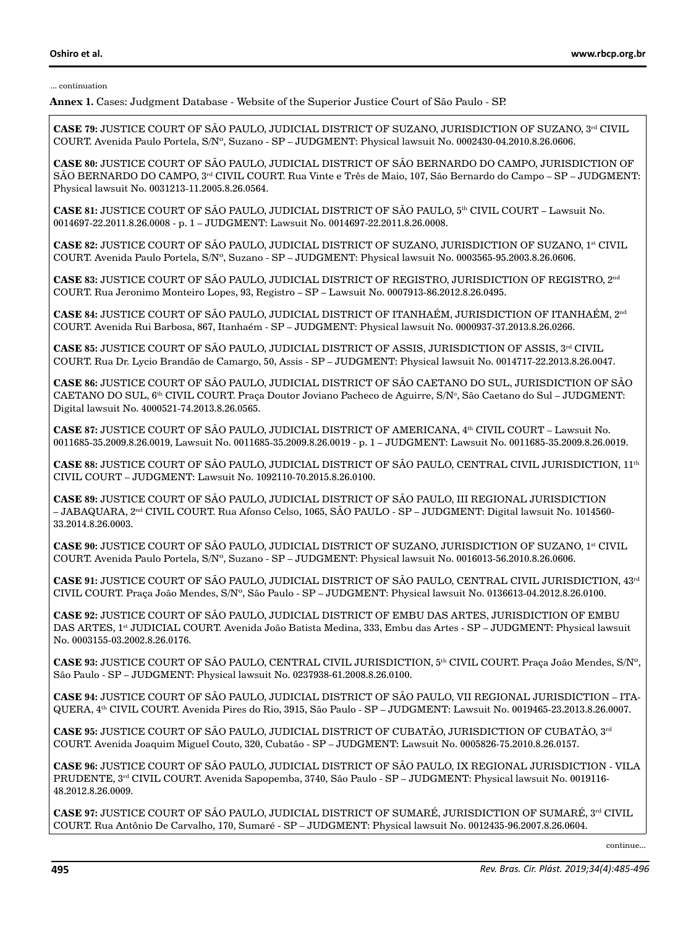**Annex 1.** Cases: Judgment Database - Website of the Superior Justice Court of São Paulo - SP.

**CASE 79:** JUSTICE COURT OF SÃO PAULO, JUDICIAL DISTRICT OF SUZANO, JURISDICTION OF SUZANO, 3<sup>rd</sup> CIVIL COURT. Avenida Paulo Portela, S/Nº, Suzano - SP – JUDGMENT: Physical lawsuit No. 0002430-04.2010.8.26.0606.

**CASE 80:** JUSTICE COURT OF SÃO PAULO, JUDICIAL DISTRICT OF SÃO BERNARDO DO CAMPO, JURISDICTION OF SÃO BERNARDO DO CAMPO, 3<sup>rd</sup> CIVIL COURT. Rua Vinte e Três de Maio, 107, São Bernardo do Campo – SP – JUDGMENT: Physical lawsuit No. 0031213-11.2005.8.26.0564.

**CASE 81:** JUSTICE COURT OF SÃO PAULO, JUDICIAL DISTRICT OF SÃO PAULO, 5th CIVIL COURT – Lawsuit No. 0014697-22.2011.8.26.0008 - p. 1 – JUDGMENT: Lawsuit No. 0014697-22.2011.8.26.0008.

**CASE 82: JUSTICE COURT OF SÃO PAULO, JUDICIAL DISTRICT OF SUZANO, JURISDICTION OF SUZANO, 1<sup>st</sup> CIVIL** COURT. Avenida Paulo Portela, S/Nº, Suzano - SP – JUDGMENT: Physical lawsuit No. 0003565-95.2003.8.26.0606.

**CASE 83:** JUSTICE COURT OF SÃO PAULO, JUDICIAL DISTRICT OF REGISTRO, JURISDICTION OF REGISTRO, 2nd COURT. Rua Jeronimo Monteiro Lopes, 93, Registro – SP – Lawsuit No. 0007913-86.2012.8.26.0495.

**CASE 84:** JUSTICE COURT OF SÃO PAULO, JUDICIAL DISTRICT OF ITANHAÉM, JURISDICTION OF ITANHAÉM, 2nd COURT. Avenida Rui Barbosa, 867, Itanhaém - SP – JUDGMENT: Physical lawsuit No. 0000937-37.2013.8.26.0266.

**CASE 85: JUSTICE COURT OF SÃO PAULO, JUDICIAL DISTRICT OF ASSIS, JURISDICTION OF ASSIS, 3<sup>rd</sup> CIVIL** COURT. Rua Dr. Lycio Brandão de Camargo, 50, Assis - SP – JUDGMENT: Physical lawsuit No. 0014717-22.2013.8.26.0047.

**CASE 86:** JUSTICE COURT OF SÃO PAULO, JUDICIAL DISTRICT OF SÃO CAETANO DO SUL, JURISDICTION OF SÃO CAETANO DO SUL, 6<sup>th</sup> CIVIL COURT. Praça Doutor Joviano Pacheco de Aguirre, S/Nº, São Caetano do Sul – JUDGMENT: Digital lawsuit No. 4000521-74.2013.8.26.0565.

**CASE 87:** JUSTICE COURT OF SÃO PAULO, JUDICIAL DISTRICT OF AMERICANA, 4th CIVIL COURT – Lawsuit No. 0011685-35.2009.8.26.0019, Lawsuit No. 0011685-35.2009.8.26.0019 - p. 1 – JUDGMENT: Lawsuit No. 0011685-35.2009.8.26.0019.

**CASE 88:** JUSTICE COURT OF SÃO PAULO, JUDICIAL DISTRICT OF SÃO PAULO, CENTRAL CIVIL JURISDICTION, 11th CIVIL COURT – JUDGMENT: Lawsuit No. 1092110-70.2015.8.26.0100.

**CASE 89:** JUSTICE COURT OF SÃO PAULO, JUDICIAL DISTRICT OF SÃO PAULO, III REGIONAL JURISDICTION – JABAQUARA, 2nd CIVIL COURT. Rua Afonso Celso, 1065, SÃO PAULO - SP – JUDGMENT: Digital lawsuit No. 1014560- 33.2014.8.26.0003.

**CASE 90:** JUSTICE COURT OF SÃO PAULO, JUDICIAL DISTRICT OF SUZANO, JURISDICTION OF SUZANO, 1<sup>st</sup> CIVIL COURT. Avenida Paulo Portela, S/Nº, Suzano - SP – JUDGMENT: Physical lawsuit No. 0016013-56.2010.8.26.0606.

**CASE 91:** JUSTICE COURT OF SÃO PAULO, JUDICIAL DISTRICT OF SÃO PAULO, CENTRAL CIVIL JURISDICTION, 43rd CIVIL COURT. Praça João Mendes, S/Nº, São Paulo - SP – JUDGMENT: Physical lawsuit No. 0136613-04.2012.8.26.0100.

**CASE 92:** JUSTICE COURT OF SÃO PAULO, JUDICIAL DISTRICT OF EMBU DAS ARTES, JURISDICTION OF EMBU DAS ARTES, 1st JUDICIAL COURT. Avenida João Batista Medina, 333, Embu das Artes - SP – JUDGMENT: Physical lawsuit No. 0003155-03.2002.8.26.0176.

**CASE 93:** JUSTICE COURT OF SÃO PAULO, CENTRAL CIVIL JURISDICTION, 5th CIVIL COURT. Praça João Mendes, S/Nº, São Paulo - SP – JUDGMENT: Physical lawsuit No. 0237938-61.2008.8.26.0100.

**CASE 94:** JUSTICE COURT OF SÃO PAULO, JUDICIAL DISTRICT OF SÃO PAULO, VII REGIONAL JURISDICTION – ITA-QUERA, 4th CIVIL COURT. Avenida Pires do Rio, 3915, São Paulo - SP – JUDGMENT: Lawsuit No. 0019465-23.2013.8.26.0007.

**CASE 95:** JUSTICE COURT OF SÃO PAULO, JUDICIAL DISTRICT OF CUBATÃO, JURISDICTION OF CUBATÃO, 3rd COURT. Avenida Joaquim Miguel Couto, 320, Cubatão - SP – JUDGMENT: Lawsuit No. 0005826-75.2010.8.26.0157.

**CASE 96:** JUSTICE COURT OF SÃO PAULO, JUDICIAL DISTRICT OF SÃO PAULO, IX REGIONAL JURISDICTION - VILA PRUDENTE, 3<sup>rd</sup> CIVIL COURT. Avenida Sapopemba, 3740, São Paulo - SP – JUDGMENT: Physical lawsuit No. 0019116-48.2012.8.26.0009.

**CASE 97:** JUSTICE COURT OF SÃO PAULO, JUDICIAL DISTRICT OF SUMARÉ, JURISDICTION OF SUMARÉ, 3<sup>rd</sup> CIVIL COURT. Rua Antônio De Carvalho, 170, Sumaré - SP – JUDGMENT: Physical lawsuit No. 0012435-96.2007.8.26.0604.

continue...